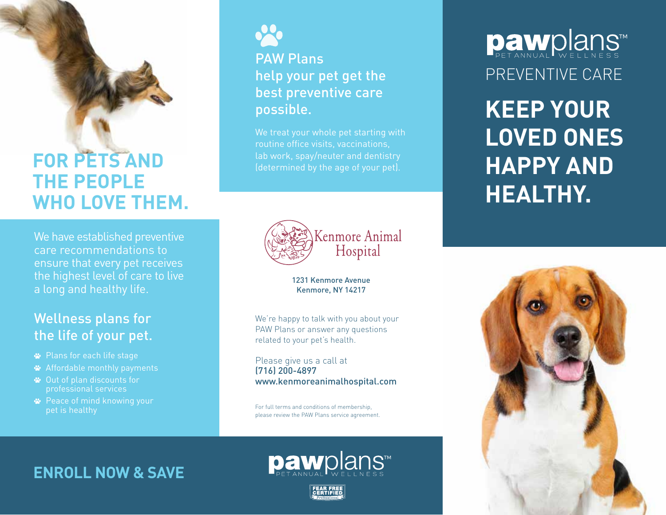# **FOR PETS AND THE PEOPLE WHO LOVE THEM.**

We have established preventive care recommendations to ensure that every pet receives the highest level of care to live a long and healthy life.

#### Wellness plans for the life of your pet.

- Plans for each life stage
- Affordable monthly payments
- Out of plan discounts for professional services
- **<sup>■</sup>** Peace of mind knowing your pet is healthy



### PAW Plans help your pet get the best preventive care possible.

We treat your whole pet starting with routine office visits, vaccinations, lab work, spay/neuter and dentistry (determined by the age of your pet).



1231 Kenmore Avenue Kenmore, NY 14217

We're happy to talk with you about your PAW Plans or answer any questions related to your pet's health.

Please give us a call at (716) 200-4897 www.kenmoreanimalhospital.com

For full terms and conditions of membership, please review the PAW Plans service agreement.

**ENROLL NOW & SAVE**



**Daw**plans™ PREVENTIVE CARE

**KEEP YOUR LOVED ONES HAPPY AND HEALTHY.**